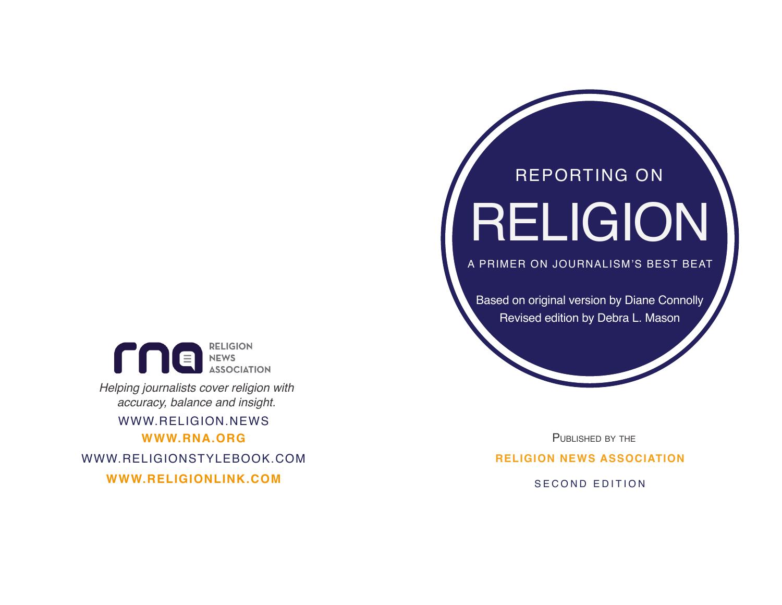

*Helping journalists cover religion with accuracy, balance and insight.*

**WWW.RNA.ORG** WWW.RELIGION.NEWS

WWW.RELIGIONSTYLEBOOK.COM

**WWW.RELIGIONLINK.COM** SECOND EDITION

# RELIGION REPORTING ON

A PRIMER ON JOURNALISM'S BEST BEAT

Based on original version by Diane Connolly Revised edition by Debra L. Mason

PUBLISHED BY THE **RELIGION NEWS ASSOCIATION**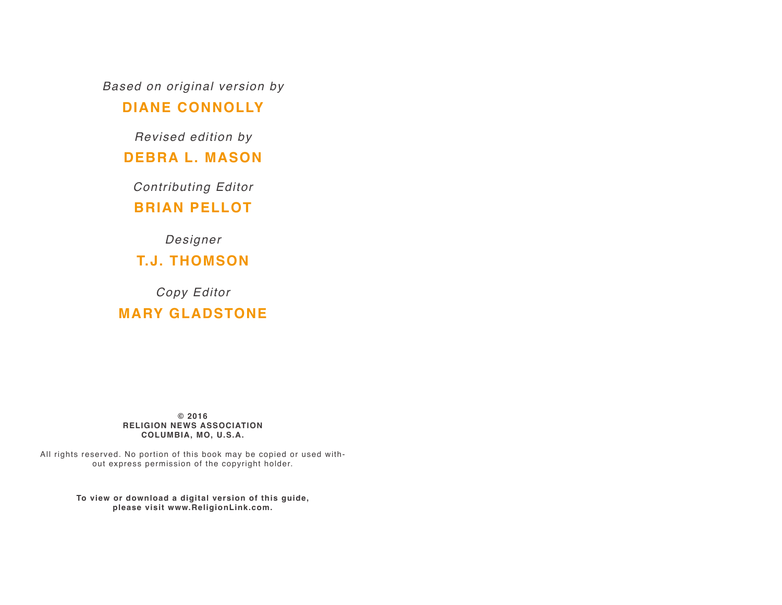*Based on original version by*

#### **DIANE CONNOLLY**

*Revised edition by*

#### **DEBRA L. MASON**

*Contributing Editor*

#### **BRIAN PELLOT**

*Designer*

**T.J. THOMSON**

*Copy Editor* **MARY GLADSTONE**

**© 2016 RELIGION NEWS ASSOCIATION COLUMBIA, MO, U.S.A.**

All rights reserved. No portion of this book may be copied or used without express permission of the copyright holder.

> **To view or download a digital version of this guide, please visit www.ReligionLink.com.**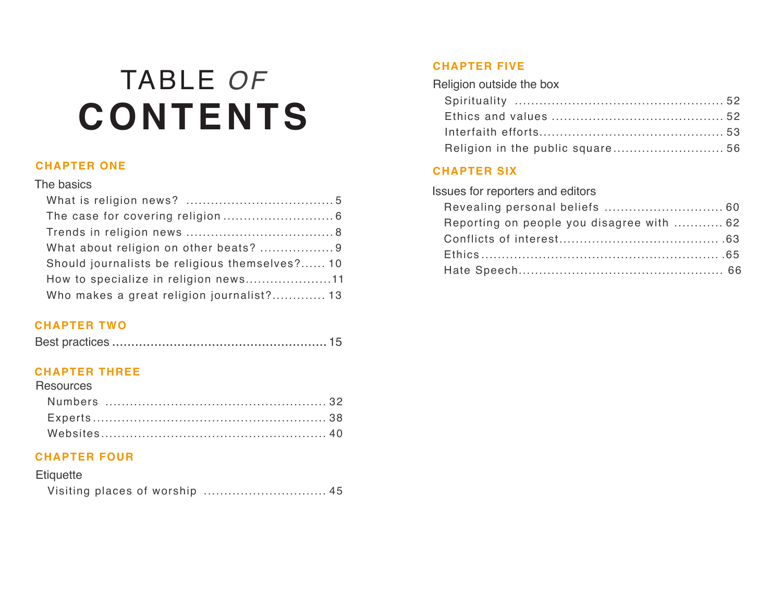# TABLE *OF* **CONTENTS**

#### **CHAPTER ONE**

#### The basics

| Should journalists be religious themselves? 10 |
|------------------------------------------------|
| How to specialize in religion news11           |
| Who makes a great religion journalist? 13      |

#### **CHAPTER TWO**

#### **CHAPTER THREE**

| <b>Resources</b> |  |
|------------------|--|
|                  |  |
|                  |  |
|                  |  |

#### **CHAPTER FOUR**

| Etiquette |  |
|-----------|--|
|           |  |

#### **CHAPTER FIVE**

| Religion in the public square 56 |  |
|----------------------------------|--|

#### **CHAPTER SIX**

Issues for reporters and editors

| Reporting on people you disagree with  62 |  |
|-------------------------------------------|--|
|                                           |  |
|                                           |  |
|                                           |  |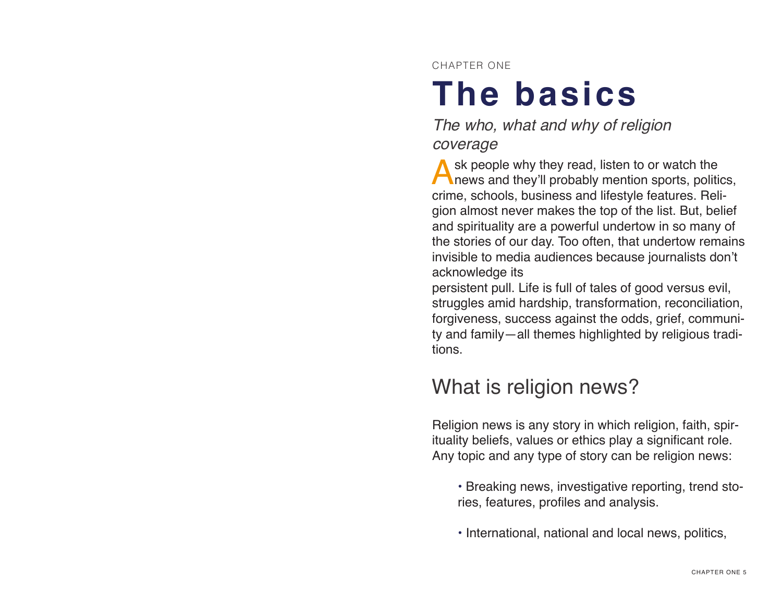CHAPTER ONE

# **The basics**

*The who, what and why of religion coverage*

Ask people why they read, listen to or watch the news and they'll probably mention sports, politics, crime, schools, business and lifestyle features. Religion almost never makes the top of the list. But, belief and spirituality are a powerful undertow in so many of the stories of our day. Too often, that undertow remains invisible to media audiences because journalists don't acknowledge its

persistent pull. Life is full of tales of good versus evil, struggles amid hardship, transformation, reconciliation, forgiveness, success against the odds, grief, community and family—all themes highlighted by religious traditions.

## What is religion news?

Religion news is any story in which religion, faith, spirituality beliefs, values or ethics play a significant role. Any topic and any type of story can be religion news:

- Breaking news, investigative reporting, trend stories, features, profiles and analysis.
- International, national and local news, politics,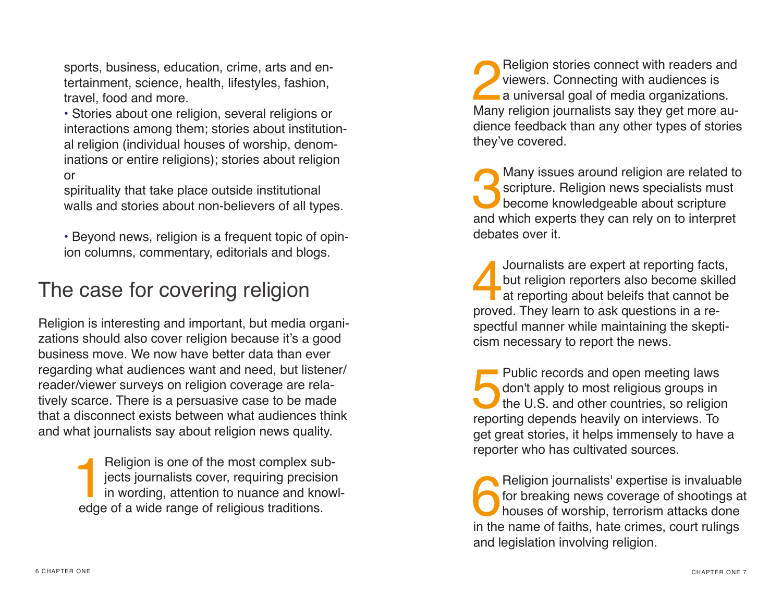sports, business, education, crime, arts and entertainment, science, health, lifestyles, fashion, travel, food and more.

• Stories about one religion, several religions or interactions among them; stories about institutional religion (individual houses of worship, denominations or entire religions); stories about religion or

spirituality that take place outside institutional walls and stories about non-believers of all types.

• Beyond news, religion is a frequent topic of opinion columns, commentary, editorials and blogs.

## The case for covering religion

Religion is interesting and important, but media organizations should also cover religion because it's a good business move. We now have better data than ever regarding what audiences want and need, but listener/ reader/viewer surveys on religion coverage are relatively scarce. There is a persuasive case to be made that a disconnect exists between what audiences think and what journalists say about religion news quality.

> Religion is one of the most complex sub-<br>jects journalists cover, requiring precision<br>in wording, attention to nuance and know<br>edge of a wide range of religious traditions jects journalists cover, requiring precision in wording, attention to nuance and knowledge of a wide range of religious traditions.

**2** Religion stories connect with readers and<br>viewers. Connecting with audiences is<br>a universal goal of media organizations.<br>Many religion iournalists say they get more auviewers. Connecting with audiences is a universal goal of media organizations. Many religion journalists say they get more audience feedback than any other types of stories they've covered.

Many issues around religion are related to<br>scripture. Religion news specialists must<br>become knowledgeable about scripture<br>and which experts they can rely on to interpret scripture. Religion news specialists must become knowledgeable about scripture and which experts they can rely on to interpret debates over it.

Journalists are expert at reporting facts,<br>but religion reporters also become skilled<br>at reporting about beleifs that cannot be<br>proved. They learn to ask questions in a rebut religion reporters also become skilled at reporting about beleifs that cannot be proved. They learn to ask questions in a respectful manner while maintaining the skepticism necessary to report the news.

Public records and open meeting laws<br>don't apply to most religious groups in<br>the U.S. and other countries, so religious<br>reporting depends heavily on interviews. To don't apply to most religious groups in the U.S. and other countries, so religion reporting depends heavily on interviews. To get great stories, it helps immensely to have a reporter who has cultivated sources.

Religion journalists' expertise is invaluable<br>for breaking news coverage of shootings at<br>houses of worship, terrorism attacks done<br>in the name of faiths, hate crimes, court rulings for breaking news coverage of shootings at houses of worship, terrorism attacks done in the name of faiths, hate crimes, court rulings and legislation involving religion.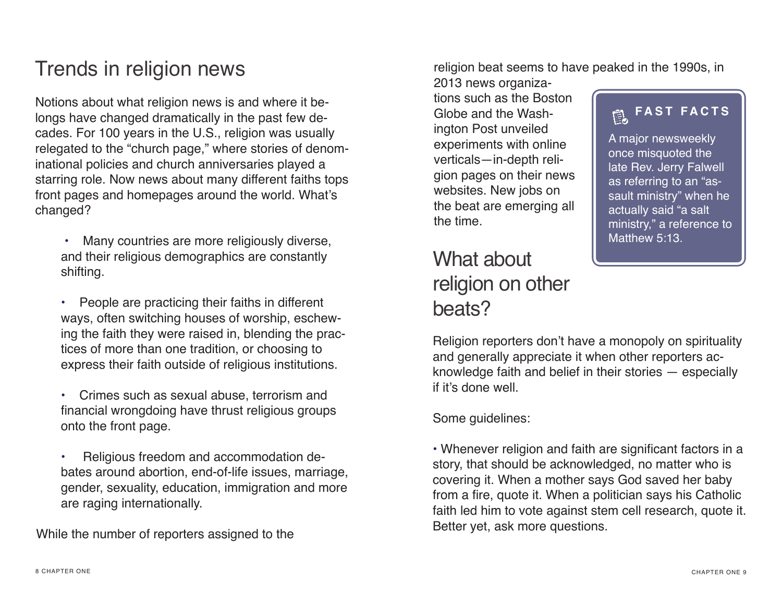## Trends in religion news

Notions about what religion news is and where it belongs have changed dramatically in the past few decades. For 100 years in the U.S., religion was usually relegated to the "church page," where stories of denominational policies and church anniversaries played a starring role. Now news about many different faiths tops front pages and homepages around the world. What's changed?

 • Many countries are more religiously diverse, and their religious demographics are constantly shifting.

• People are practicing their faiths in different ways, often switching houses of worship, eschewing the faith they were raised in, blending the practices of more than one tradition, or choosing to express their faith outside of religious institutions.

• Crimes such as sexual abuse, terrorism and financial wrongdoing have thrust religious groups onto the front page.

• Religious freedom and accommodation debates around abortion, end-of-life issues, marriage, gender, sexuality, education, immigration and more are raging internationally.

While the number of reporters assigned to the

religion beat seems to have peaked in the 1990s, in

2013 news organizations such as the Boston Globe and the Washington Post unveiled experiments with online verticals—in-depth religion pages on their news websites. New jobs on the beat are emerging all the time.

## What about religion on other beats?

#### **FAST FACTS**扈

A major newsweekly once misquoted the late Rev. Jerry Falwell as referring to an "assault ministry" when he actually said "a salt ministry," a reference to Matthew 5:13.

Religion reporters don't have a monopoly on spirituality and generally appreciate it when other reporters acknowledge faith and belief in their stories — especially if it's done well.

Some guidelines:

• Whenever religion and faith are significant factors in a story, that should be acknowledged, no matter who is covering it. When a mother says God saved her baby from a fire, quote it. When a politician says his Catholic faith led him to vote against stem cell research, quote it. Better yet, ask more questions.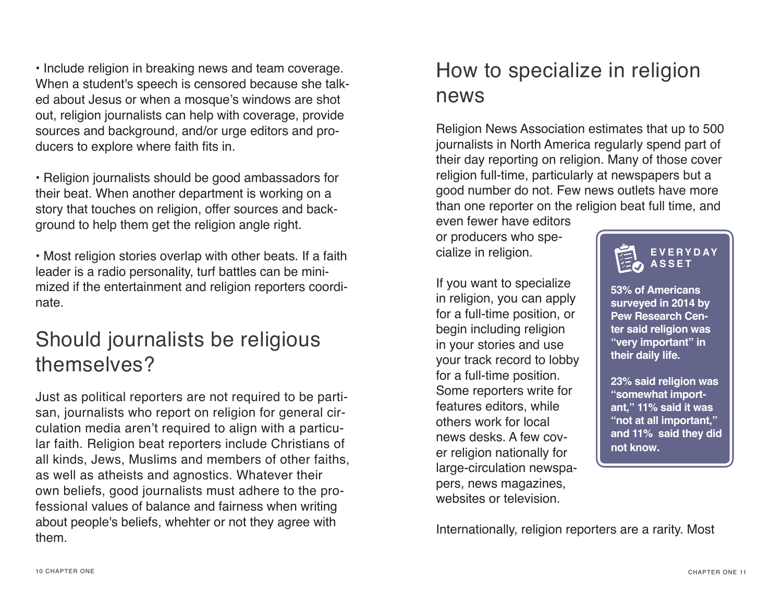• Include religion in breaking news and team coverage. When a student's speech is censored because she talked about Jesus or when a mosque's windows are shot out, religion journalists can help with coverage, provide sources and background, and/or urge editors and producers to explore where faith fits in.

• Religion journalists should be good ambassadors for their beat. When another department is working on a story that touches on religion, offer sources and background to help them get the religion angle right.

• Most religion stories overlap with other beats. If a faith leader is a radio personality, turf battles can be minimized if the entertainment and religion reporters coordinate.

## Should journalists be religious themselves?

Just as political reporters are not required to be partisan, journalists who report on religion for general circulation media aren't required to align with a particular faith. Religion beat reporters include Christians of all kinds, Jews, Muslims and members of other faiths, as well as atheists and agnostics. Whatever their own beliefs, good journalists must adhere to the professional values of balance and fairness when writing about people's beliefs, whehter or not they agree with them.

## How to specialize in religion news

Religion News Association estimates that up to 500 journalists in North America regularly spend part of their day reporting on religion. Many of those cover religion full-time, particularly at newspapers but a good number do not. Few news outlets have more than one reporter on the religion beat full time, and

even fewer have editors or producers who specialize in religion.

If you want to specialize in religion, you can apply for a full-time position, or begin including religion in your stories and use your track record to lobby for a full-time position. Some reporters write for features editors, while others work for local news desks. A few cover religion nationally for large-circulation newspapers, news magazines, websites or television



**53% of Americans surveyed in 2014 by Pew Research Center said religion was "very important" in their daily life.** 

**23% said religion was "somewhat important," 11% said it was "not at all important," and 11% said they did not know.**

Internationally, religion reporters are a rarity. Most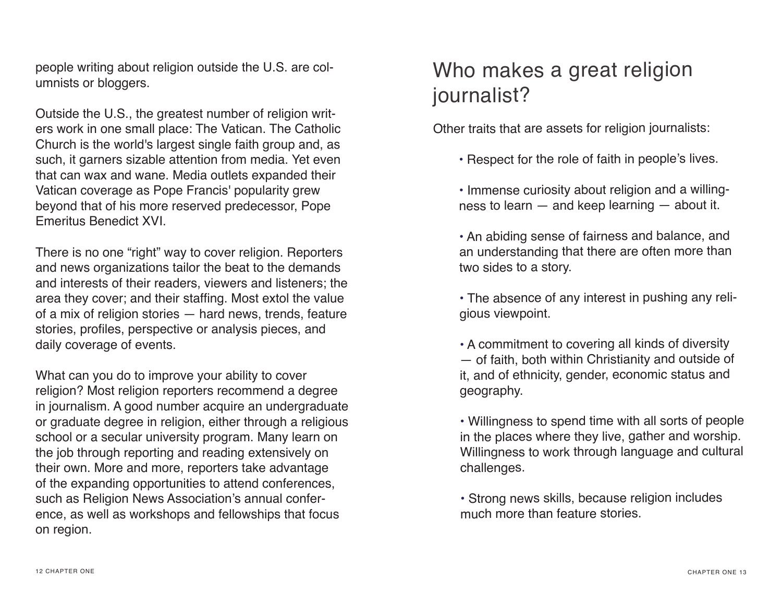people writing about religion outside the U.S. are columnists or bloggers.

Outside the U.S., the greatest number of religion writers work in one small place: The Vatican. The Catholic Church is the world's largest single faith group and, as such, it garners sizable attention from media. Yet even that can wax and wane. Media outlets expanded their Vatican coverage as Pope Francis' popularity grew beyond that of his more reserved predecessor, Pope Emeritus Benedict XVI.

There is no one "right" way to cover religion. Reporters and news organizations tailor the beat to the demands and interests of their readers, viewers and listeners; the area they cover; and their staffing. Most extol the value of a mix of religion stories — hard news, trends, feature stories, profles, perspective or analysis pieces, and daily coverage of events.

What can you do to improve your ability to cover religion? Most religion reporters recommend a degree in journalism. A good number acquire an undergraduate or graduate degree in religion, either through a religious school or a secular university program. Many learn on the job through reporting and reading extensively on their own. More and more, reporters take advantage of the expanding opportunities to attend conferences, such as Religion News Association's annual conference, as well as workshops and fellowships that focus on region.

## Who makes a great religion journalist?

Other traits that are assets for religion journalists:

- Respect for the role of faith in people's lives.
- Immense curiosity about religion and a willingness to learn — and keep learning — about it.

• An abiding sense of fairness and balance, and an understanding that there are often more than two sides to a story.

• The absence of any interest in pushing any religious viewpoint.

• A commitment to covering all kinds of diversity — of faith, both within Christianity and outside of it, and of ethnicity, gender, economic status and geography.

• Willingness to spend time with all sorts of people in the places where they live, gather and worship. Willingness to work through language and cultural challenges.

• Strong news skills, because religion includes much more than feature stories.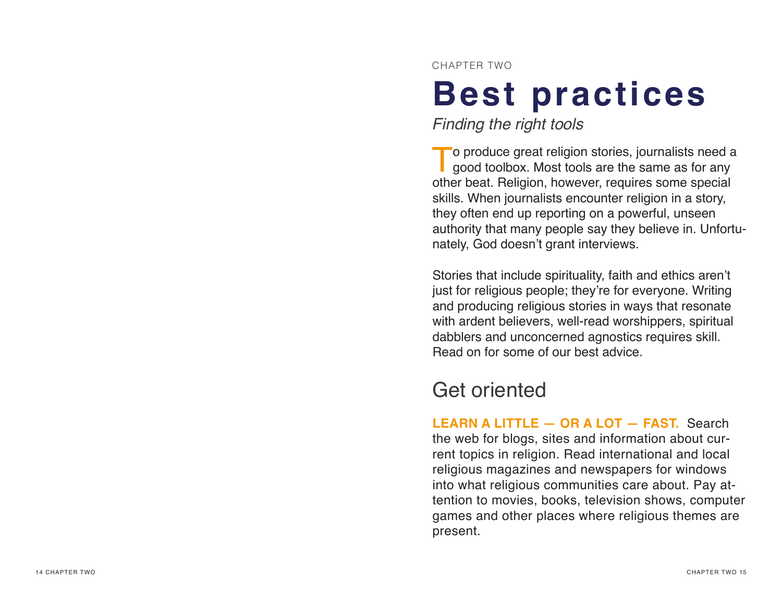CHAPTER TWO

# **Best practices**

*Finding the right tools*

To produce great religion stories, journalists need a good toolbox. Most tools are the same as for any other beat. Religion, however, requires some special skills. When journalists encounter religion in a story, they often end up reporting on a powerful, unseen authority that many people say they believe in. Unfortu nately, God doesn't grant interviews.

Stories that include spirituality, faith and ethics aren't just for religious people; they're for everyone. Writing and producing religious stories in ways that resonate with ardent believers, well-read worshippers, spiritual dabblers and unconcerned agnostics requires skill. Read on for some of our best advice.

## Get oriented

**LEARN A LITTLE — OR A LOT — FAST.** Search the web for blogs, sites and information about cur rent topics in religion. Read international and local religious magazines and newspapers for windows into what religious communities care about. Pay at tention to movies, books, television shows, computer games and other places where religious themes are present.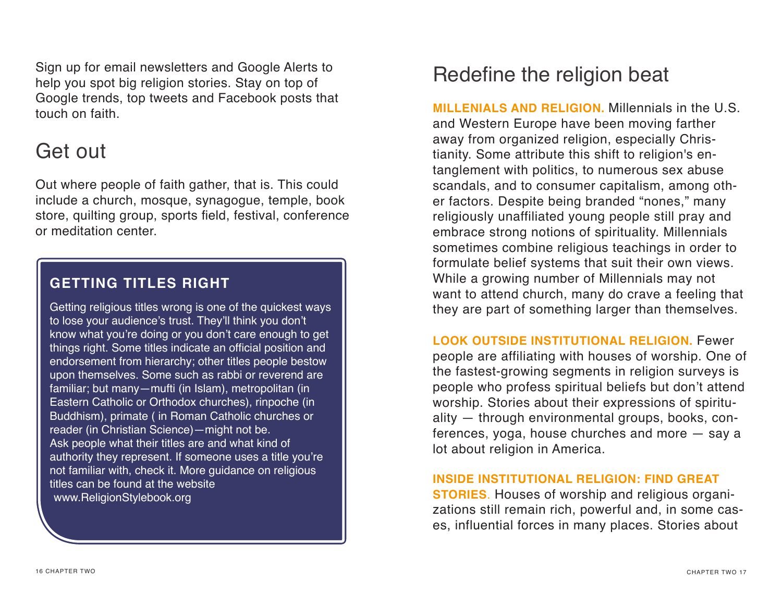Sign up for email newsletters and Google Alerts to help you spot big religion stories. Stay on top of Google trends, top tweets and Facebook posts that touch on faith.

## Get out

Out where people of faith gather, that is. This could include a church, mosque, synagogue, temple, book store, quilting group, sports field, festival, conference or meditation center.

#### **GETTING TITLES RIGHT**

Getting religious titles wrong is one of the quickest ways to lose your audience's trust. They'll think you don't know what you're doing or you don't care enough to get things right. Some titles indicate an official position and endorsement from hierarchy; other titles people bestow upon themselves. Some such as rabbi or reverend are familiar; but many—mufti (in Islam), metropolitan (in Eastern Catholic or Orthodox churches), rinpoche (in Buddhism), primate ( in Roman Catholic churches or reader (in Christian Science)—might not be. Ask people what their titles are and what kind of authority they represent. If someone uses a title you're not familiar with, check it. More guidance on religious titles can be found at the website www.ReligionStylebook.org

## Redefine the religion beat

**MILLENIALS AND RELIGION.** Millennials in the U.S. and Western Europe have been moving farther away from organized religion, especially Christianity. Some attribute this shift to religion's entanglement with politics, to numerous sex abuse scandals, and to consumer capitalism, among other factors. Despite being branded "nones," many religiously unaffiliated young people still pray and embrace strong notions of spirituality. Millennials sometimes combine religious teachings in order to formulate belief systems that suit their own views. While a growing number of Millennials may not want to attend church, many do crave a feeling that they are part of something larger than themselves.

**LOOK OUTSIDE INSTITUTIONAL RELIGION.** Fewer

people are affiliating with houses of worship. One of the fastest-growing segments in religion surveys is people who profess spiritual beliefs but don't attend worship. Stories about their expressions of spirituality — through environmental groups, books, conferences, yoga, house churches and more — say a lot about religion in America.

#### **INSIDE INSTITUTIONAL RELIGION: FIND GREAT**

**STORIES**. Houses of worship and religious organizations still remain rich, powerful and, in some cases, influential forces in many places. Stories about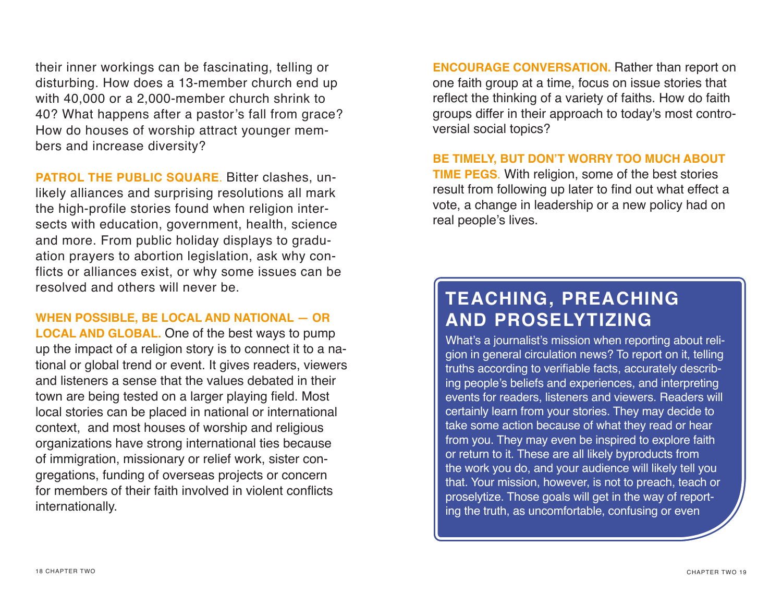their inner workings can be fascinating, telling or disturbing. How does a 13-member church end up with 40,000 or a 2,000-member church shrink to 40? What happens after a pastor's fall from grace? How do houses of worship attract younger members and increase diversity?

**PATROL THE PUBLIC SQUARE**. Bitter clashes, unlikely alliances and surprising resolutions all mark the high-profile stories found when religion intersects with education, government, health, science and more. From public holiday displays to graduation prayers to abortion legislation, ask why conflicts or alliances exist, or why some issues can be resolved and others will never be.

**WHEN POSSIBLE, BE LOCAL AND NATIONAL — OR LOCAL AND GLOBAL.** One of the best ways to pump up the impact of a religion story is to connect it to a national or global trend or event. It gives readers, viewers and listeners a sense that the values debated in their town are being tested on a larger playing field. Most local stories can be placed in national or international context, and most houses of worship and religious organizations have strong international ties because of immigration, missionary or relief work, sister congregations, funding of overseas projects or concern for members of their faith involved in violent conficts internationally.

**ENCOURAGE CONVERSATION.** Rather than report on one faith group at a time, focus on issue stories that reflect the thinking of a variety of faiths. How do faith groups differ in their approach to today's most controversial social topics?

**BE TIMELY, BUT DON'T WORRY TOO MUCH ABOUT TIME PEGS**. With religion, some of the best stories result from following up later to find out what effect a vote, a change in leadership or a new policy had on real people's lives.

#### **TEACHING, PREACHING AND PROSELYTIZING**

What's a journalist's mission when reporting about religion in general circulation news? To report on it, telling truths according to verifable facts, accurately describing people's beliefs and experiences, and interpreting events for readers, listeners and viewers. Readers will certainly learn from your stories. They may decide to take some action because of what they read or hear from you. They may even be inspired to explore faith or return to it. These are all likely byproducts from the work you do, and your audience will likely tell you that. Your mission, however, is not to preach, teach or proselytize. Those goals will get in the way of reporting the truth, as uncomfortable, confusing or even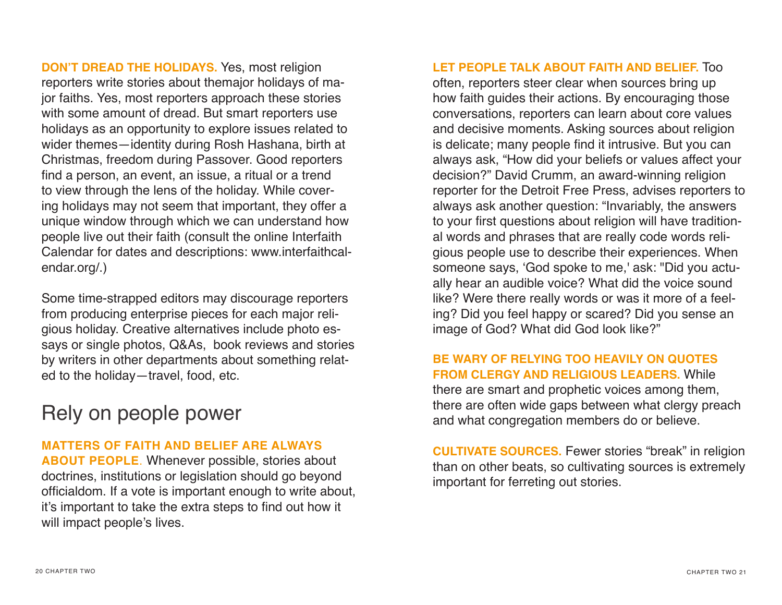**DON'T DREAD THE HOLIDAYS.** Yes, most religion reporters write stories about themajor holidays of major faiths. Yes, most reporters approach these stories with some amount of dread. But smart reporters use holidays as an opportunity to explore issues related to wider themes—identity during Rosh Hashana, birth at Christmas, freedom during Passover. Good reporters find a person, an event, an issue, a ritual or a trend to view through the lens of the holiday. While covering holidays may not seem that important, they offer a unique window through which we can understand how people live out their faith (consult the online Interfaith Calendar for dates and descriptions: www.interfaithcalendar.org/.)

Some time-strapped editors may discourage reporters from producing enterprise pieces for each major religious holiday. Creative alternatives include photo essays or single photos, Q&As, book reviews and stories by writers in other departments about something related to the holiday—travel, food, etc.

#### Rely on people power

#### **MATTERS OF FAITH AND BELIEF ARE ALWAYS**

**ABOUT PEOPLE**. Whenever possible, stories about doctrines, institutions or legislation should go beyond officialdom. If a vote is important enough to write about, it's important to take the extra steps to find out how it will impact people's lives.

**LET PEOPLE TALK ABOUT FAITH AND BELIEF.** Too often, reporters steer clear when sources bring up how faith guides their actions. By encouraging those conversations, reporters can learn about core values and decisive moments. Asking sources about religion is delicate; many people fnd it intrusive. But you can always ask, "How did your beliefs or values affect your decision?" David Crumm, an award-winning religion reporter for the Detroit Free Press, advises reporters to always ask another question: "Invariably, the answers to your first questions about religion will have traditional words and phrases that are really code words religious people use to describe their experiences. When someone says, 'God spoke to me,' ask: "Did you actually hear an audible voice? What did the voice sound like? Were there really words or was it more of a feeling? Did you feel happy or scared? Did you sense an image of God? What did God look like?"

#### **BE WARY OF RELYING TOO HEAVILY ON QUOTES FROM CLERGY AND RELIGIOUS LEADERS.** While there are smart and prophetic voices among them, there are often wide gaps between what clergy preach and what congregation members do or believe.

**CULTIVATE SOURCES.** Fewer stories "break" in religion than on other beats, so cultivating sources is extremely important for ferreting out stories.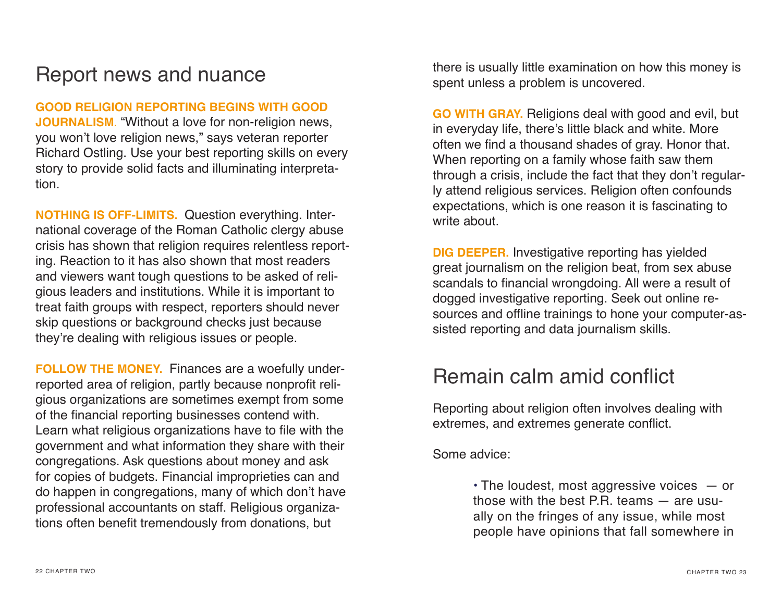## Report news and nuance

**GOOD RELIGION REPORTING BEGINS WITH GOOD JOURNALISM**. "Without a love for non-religion news, you won't love religion news," says veteran reporter Richard Ostling. Use your best reporting skills on every story to provide solid facts and illuminating interpretation.

**NOTHING IS OFF-LIMITS.** Question everything. International coverage of the Roman Catholic clergy abuse crisis has shown that religion requires relentless reporting. Reaction to it has also shown that most readers and viewers want tough questions to be asked of religious leaders and institutions. While it is important to treat faith groups with respect, reporters should never skip questions or background checks just because they're dealing with religious issues or people.

**FOLLOW THE MONEY.** Finances are a woefully underreported area of religion, partly because nonprofit religious organizations are sometimes exempt from some of the fnancial reporting businesses contend with. Learn what religious organizations have to file with the government and what information they share with their congregations. Ask questions about money and ask for copies of budgets. Financial improprieties can and do happen in congregations, many of which don't have professional accountants on staff. Religious organizations often benefit tremendously from donations, but

there is usually little examination on how this money is spent unless a problem is uncovered.

**GO WITH GRAY.** Religions deal with good and evil, but in everyday life, there's little black and white. More often we find a thousand shades of gray. Honor that. When reporting on a family whose faith saw them through a crisis, include the fact that they don't regularly attend religious services. Religion often confounds expectations, which is one reason it is fascinating to write about.

**DIG DEEPER.** Investigative reporting has yielded great journalism on the religion beat, from sex abuse scandals to financial wrongdoing. All were a result of dogged investigative reporting. Seek out online resources and offine trainings to hone your computer-assisted reporting and data journalism skills.

#### Remain calm amid confict

Reporting about religion often involves dealing with extremes, and extremes generate confict.

Some advice:

 $\cdot$  The loudest, most aggressive voices  $-$  or those with the best P.R. teams — are usually on the fringes of any issue, while most people have opinions that fall somewhere in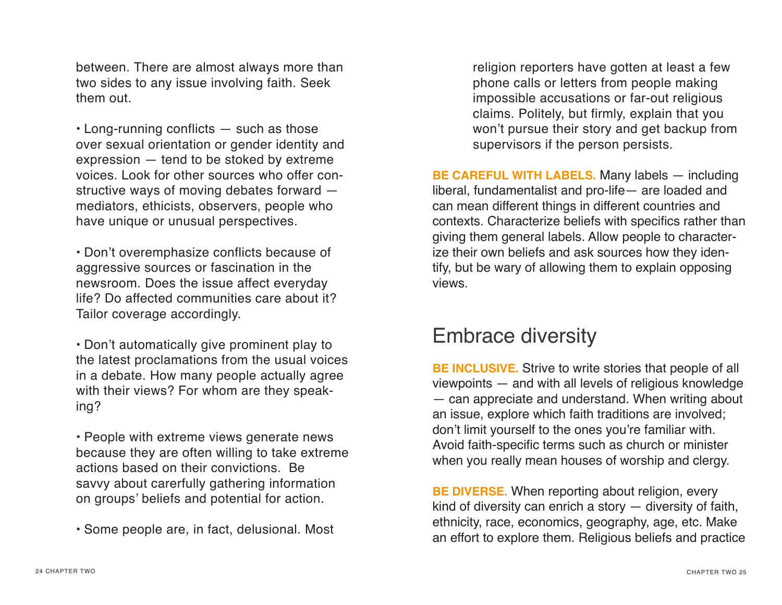between. There are almost always more than two sides to any issue involving faith. Seek them out.

• Long-running conflicts — such as those over sexual orientation or gender identity and expression — tend to be stoked by extreme voices. Look for other sources who offer constructive ways of moving debates forward mediators, ethicists, observers, people who have unique or unusual perspectives.

• Don't overemphasize conflicts because of aggressive sources or fascination in the newsroom. Does the issue affect everyday life? Do affected communities care about it? Tailor coverage accordingly.

• Don't automatically give prominent play to the latest proclamations from the usual voices in a debate. How many people actually agree with their views? For whom are they speaking?

• People with extreme views generate news because they are often willing to take extreme actions based on their convictions. Be savvy about carerfully gathering information on groups' beliefs and potential for action.

• Some people are, in fact, delusional. Most

religion reporters have gotten at least a few phone calls or letters from people making impossible accusations or far-out religious claims. Politely, but firmly, explain that you won't pursue their story and get backup from supervisors if the person persists.

**BE CAREFUL WITH LABELS.** Many labels — including liberal, fundamentalist and pro-life— are loaded and can mean different things in different countries and contexts. Characterize beliefs with specifics rather than giving them general labels. Allow people to characterize their own beliefs and ask sources how they identify, but be wary of allowing them to explain opposing views.

#### Embrace diversity

**BE INCLUSIVE.** Strive to write stories that people of all viewpoints — and with all levels of religious knowledge — can appreciate and understand. When writing about an issue, explore which faith traditions are involved; don't limit yourself to the ones you're familiar with. Avoid faith-specific terms such as church or minister when you really mean houses of worship and clergy.

**BE DIVERSE.** When reporting about religion, every kind of diversity can enrich a story — diversity of faith, ethnicity, race, economics, geography, age, etc. Make an effort to explore them. Religious beliefs and practice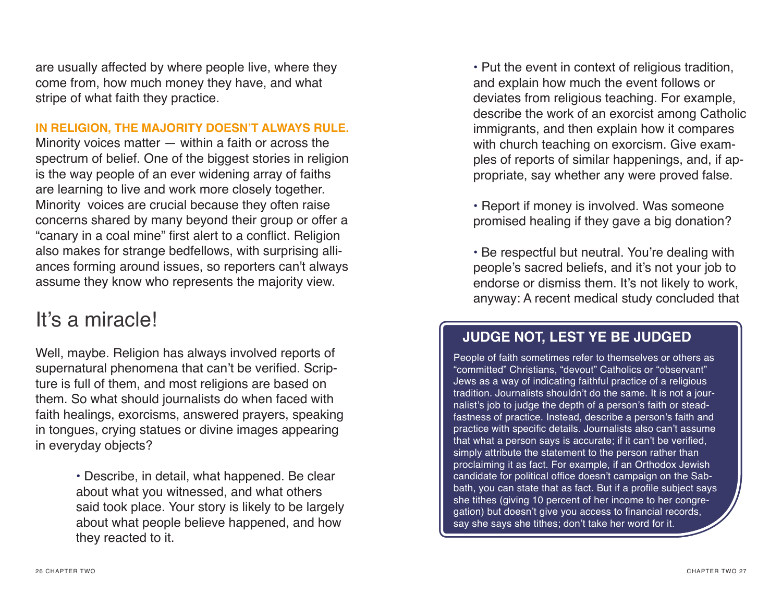are usually affected by where people live, where they come from, how much money they have, and what stripe of what faith they practice.

#### **IN RELIGION, THE MAJORITY DOESN'T ALWAYS RULE.**

Minority voices matter — within a faith or across the spectrum of belief. One of the biggest stories in religion is the way people of an ever widening array of faiths are learning to live and work more closely together. Minority voices are crucial because they often raise concerns shared by many beyond their group or offer a "canary in a coal mine" frst alert to a confict. Religion also makes for strange bedfellows, with surprising alliances forming around issues, so reporters can't always assume they know who represents the majority view.

#### It's a miracle!

Well, maybe. Religion has always involved reports of supernatural phenomena that can't be verified. Scripture is full of them, and most religions are based on them. So what should journalists do when faced with faith healings, exorcisms, answered prayers, speaking in tongues, crying statues or divine images appearing in everyday objects?

> • Describe, in detail, what happened. Be clear about what you witnessed, and what others said took place. Your story is likely to be largely about what people believe happened, and how they reacted to it.

• Put the event in context of religious tradition, and explain how much the event follows or deviates from religious teaching. For example, describe the work of an exorcist among Catholic immigrants, and then explain how it compares with church teaching on exorcism. Give examples of reports of similar happenings, and, if appropriate, say whether any were proved false.

• Report if money is involved. Was someone promised healing if they gave a big donation?

• Be respectful but neutral. You're dealing with people's sacred beliefs, and it's not your job to endorse or dismiss them. It's not likely to work, anyway: A recent medical study concluded that

#### **JUDGE NOT, LEST YE BE JUDGED**

People of faith sometimes refer to themselves or others as "committed" Christians, "devout" Catholics or "observant" Jews as a way of indicating faithful practice of a religious tradition. Journalists shouldn't do the same. It is not a journalist's job to judge the depth of a person's faith or steadfastness of practice. Instead, describe a person's faith and practice with specific details. Journalists also can't assume that what a person says is accurate; if it can't be verifed, simply attribute the statement to the person rather than proclaiming it as fact. For example, if an Orthodox Jewish candidate for political office doesn't campaign on the Sabbath, you can state that as fact. But if a profile subject says she tithes (giving 10 percent of her income to her congregation) but doesn't give you access to fnancial records, say she says she tithes; don't take her word for it.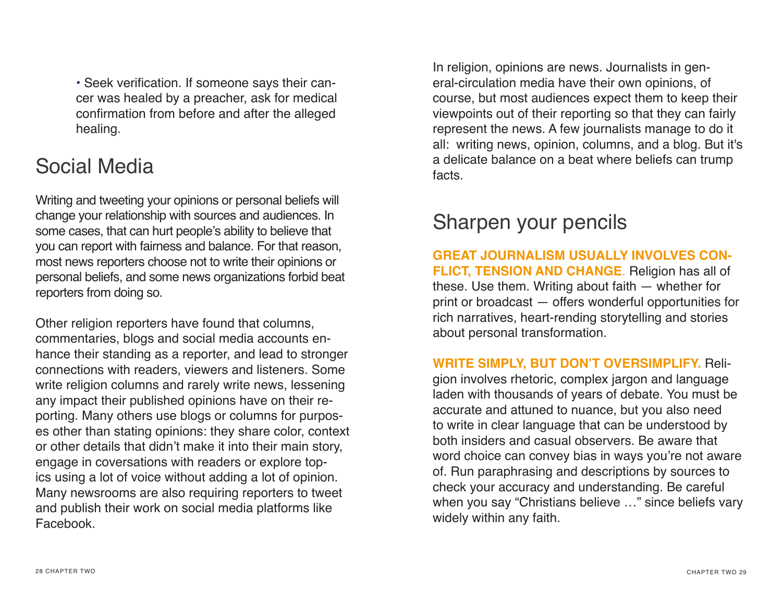• Seek verifcation. If someone says their cancer was healed by a preacher, ask for medical confrmation from before and after the alleged healing.

### Social Media

Writing and tweeting your opinions or personal beliefs will change your relationship with sources and audiences. In some cases, that can hurt people's ability to believe that you can report with fairness and balance. For that reason, most news reporters choose not to write their opinions or personal beliefs, and some news organizations forbid beat reporters from doing so.

Other religion reporters have found that columns, commentaries, blogs and social media accounts enhance their standing as a reporter, and lead to stronger connections with readers, viewers and listeners. Some write religion columns and rarely write news, lessening any impact their published opinions have on their reporting. Many others use blogs or columns for purposes other than stating opinions: they share color, context or other details that didn't make it into their main story, engage in coversations with readers or explore topics using a lot of voice without adding a lot of opinion. Many newsrooms are also requiring reporters to tweet and publish their work on social media platforms like Facebook.

In religion, opinions are news. Journalists in general-circulation media have their own opinions, of course, but most audiences expect them to keep their viewpoints out of their reporting so that they can fairly represent the news. A few journalists manage to do it all: writing news, opinion, columns, and a blog. But it's a delicate balance on a beat where beliefs can trump facts.

## Sharpen your pencils

**GREAT JOURNALISM USUALLY INVOLVES CON-FLICT, TENSION AND CHANGE**. Religion has all of these. Use them. Writing about faith — whether for print or broadcast — offers wonderful opportunities for rich narratives, heart-rending storytelling and stories about personal transformation.

**WRITE SIMPLY, BUT DON'T OVERSIMPLIFY.** Reli-

gion involves rhetoric, complex jargon and language laden with thousands of years of debate. You must be accurate and attuned to nuance, but you also need to write in clear language that can be understood by both insiders and casual observers. Be aware that word choice can convey bias in ways you're not aware of. Run paraphrasing and descriptions by sources to check your accuracy and understanding. Be careful when you say "Christians believe …" since beliefs vary widely within any faith.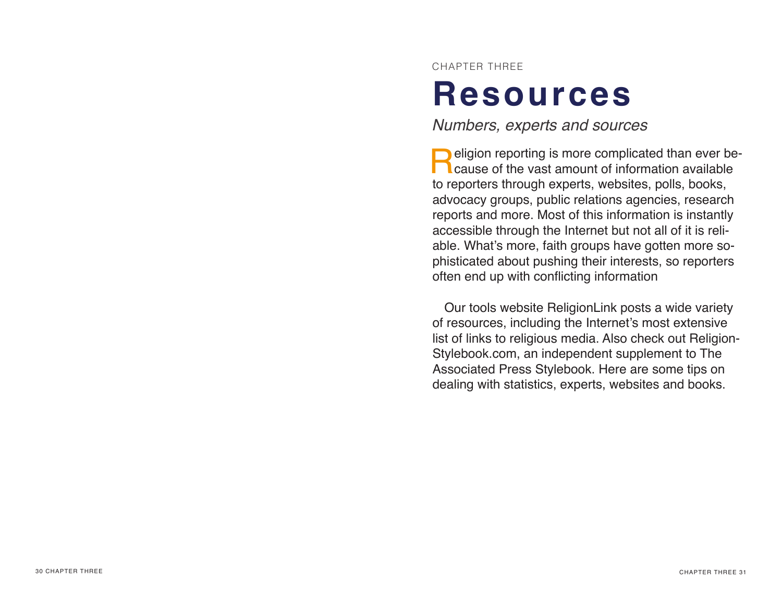CHAPTER THREE

## **Resources**

*Numbers, experts and sources*

**Religion reporting is more complicated than ever be-**<br>cause of the vast amount of information available to reporters through experts, websites, polls, books, advocacy groups, public relations agencies, research reports and more. Most of this information is instantly accessible through the Internet but not all of it is reliable. What's more, faith groups have gotten more sophisticated about pushing their interests, so reporters often end up with conficting information

Our tools website ReligionLink posts a wide variety of resources, including the Internet's most extensive list of links to religious media. Also check out Religion-Stylebook.com, an independent supplement to The Associated Press Stylebook. Here are some tips on dealing with statistics, experts, websites and books.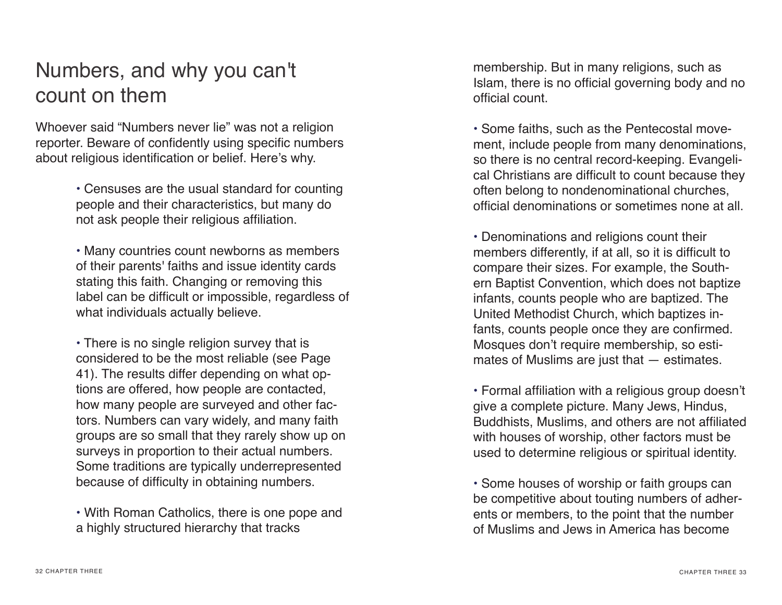## Numbers, and why you can't count on them

Whoever said "Numbers never lie" was not a religion reporter. Beware of confidently using specific numbers about religious identification or belief. Here's why.

> • Censuses are the usual standard for counting people and their characteristics, but many do not ask people their religious affliation.

• Many countries count newborns as members of their parents' faiths and issue identity cards stating this faith. Changing or removing this label can be difficult or impossible, regardless of what individuals actually believe.

• There is no single religion survey that is considered to be the most reliable (see Page 41). The results differ depending on what options are offered, how people are contacted, how many people are surveyed and other factors. Numbers can vary widely, and many faith groups are so small that they rarely show up on surveys in proportion to their actual numbers. Some traditions are typically underrepresented because of difficulty in obtaining numbers.

• With Roman Catholics, there is one pope and a highly structured hierarchy that tracks

membership. But in many religions, such as Islam, there is no official governing body and no official count.

• Some faiths, such as the Pentecostal movement, include people from many denominations, so there is no central record-keeping. Evangelical Christians are difficult to count because they often belong to nondenominational churches, official denominations or sometimes none at all.

• Denominations and religions count their members differently, if at all, so it is difficult to compare their sizes. For example, the Southern Baptist Convention, which does not baptize infants, counts people who are baptized. The United Methodist Church, which baptizes infants, counts people once they are confirmed. Mosques don't require membership, so estimates of Muslims are just that — estimates.

• Formal affliation with a religious group doesn't give a complete picture. Many Jews, Hindus, Buddhists, Muslims, and others are not affliated with houses of worship, other factors must be used to determine religious or spiritual identity.

• Some houses of worship or faith groups can be competitive about touting numbers of adherents or members, to the point that the number of Muslims and Jews in America has become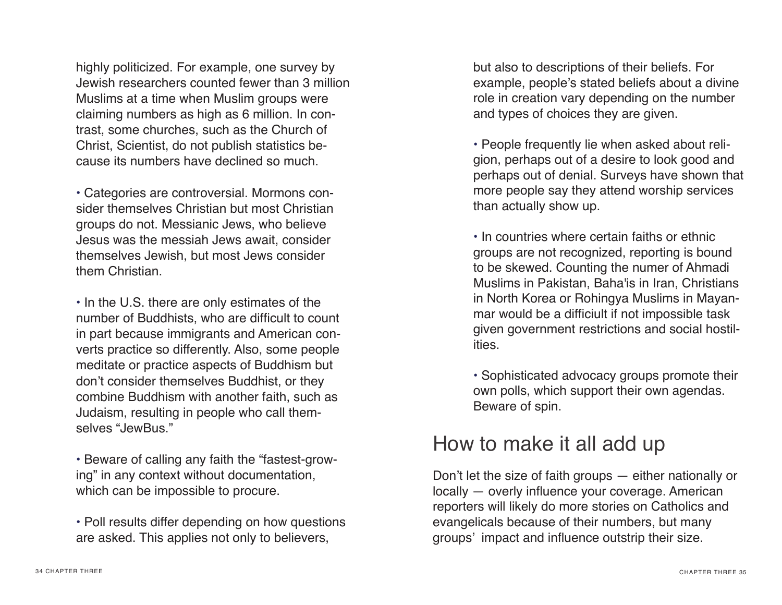highly politicized. For example, one survey by Jewish researchers counted fewer than 3 million Muslims at a time when Muslim groups were claiming numbers as high as 6 million. In contrast, some churches, such as the Church of Christ, Scientist, do not publish statistics because its numbers have declined so much.

• Categories are controversial. Mormons consider themselves Christian but most Christian groups do not. Messianic Jews, who believe Jesus was the messiah Jews await, consider themselves Jewish, but most Jews consider them Christian.

• In the U.S. there are only estimates of the number of Buddhists, who are difficult to count in part because immigrants and American converts practice so differently. Also, some people meditate or practice aspects of Buddhism but don't consider themselves Buddhist, or they combine Buddhism with another faith, such as Judaism, resulting in people who call themselves "JewBus."

• Beware of calling any faith the "fastest-growing" in any context without documentation, which can be impossible to procure.

• Poll results differ depending on how questions are asked. This applies not only to believers,

but also to descriptions of their beliefs. For example, people's stated beliefs about a divine role in creation vary depending on the number and types of choices they are given.

• People frequently lie when asked about religion, perhaps out of a desire to look good and perhaps out of denial. Surveys have shown that more people say they attend worship services than actually show up.

• In countries where certain faiths or ethnic groups are not recognized, reporting is bound to be skewed. Counting the numer of Ahmadi Muslims in Pakistan, Baha'is in Iran, Christians in North Korea or Rohingya Muslims in Mayanmar would be a difficiult if not impossible task given government restrictions and social hostilities.

• Sophisticated advocacy groups promote their own polls, which support their own agendas. Beware of spin.

#### How to make it all add up

Don't let the size of faith groups — either nationally or locally — overly infuence your coverage. American reporters will likely do more stories on Catholics and evangelicals because of their numbers, but many groups' impact and infuence outstrip their size.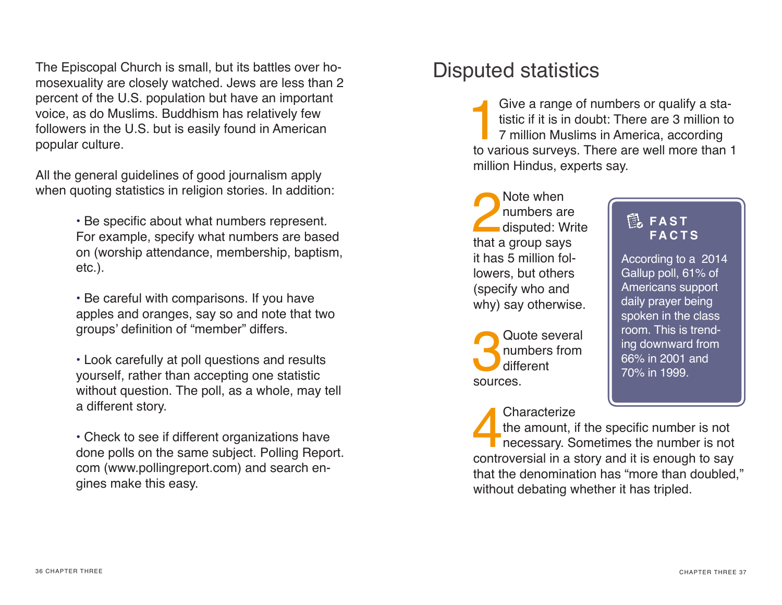The Episcopal Church is small, but its battles over homosexuality are closely watched. Jews are less than 2 percent of the U.S. population but have an important voice, as do Muslims. Buddhism has relatively few followers in the U.S. but is easily found in American popular culture.

All the general guidelines of good journalism apply when quoting statistics in religion stories. In addition:

> • Be specifc about what numbers represent. For example, specify what numbers are based on (worship attendance, membership, baptism, etc.).

• Be careful with comparisons. If you have apples and oranges, say so and note that two groups' defnition of "member" differs.

• Look carefully at poll questions and results yourself, rather than accepting one statistic without question. The poll, as a whole, may tell a different story.

• Check to see if different organizations have done polls on the same subject. Polling Report. com (www.pollingreport.com) and search engines make this easy.

## Disputed statistics

Give a range of numbers or qualify a statistic if it is in doubt: There are 3 million to 7 million Muslims in America, according to various surveys. There are well more than tistic if it is in doubt: There are 3 million to 7 million Muslims in America, according to various surveys. There are well more than 1 million Hindus, experts say.

Note when<br>
numbers are<br>
disputed: W<br>
that a group say numbers are disputed: Write that a group says it has 5 million followers, but others (specify who and why) say otherwise.

Quote several<br>
numbers from<br>
different<br>
sources numbers from different sources.

Characterize<br>the amount, if<br>necessary. So<br>controversial in a s the amount, if the specific number is not necessary. Sometimes the number is not controversial in a story and it is enough to say that the denomination has "more than doubled," without debating whether it has tripled.

#### **E**, FAST **FACTS**

According to a 2014 Gallup poll, 61% of Americans support daily prayer being spoken in the class room. This is trending downward from 66% in 2001 and 70% in 1999.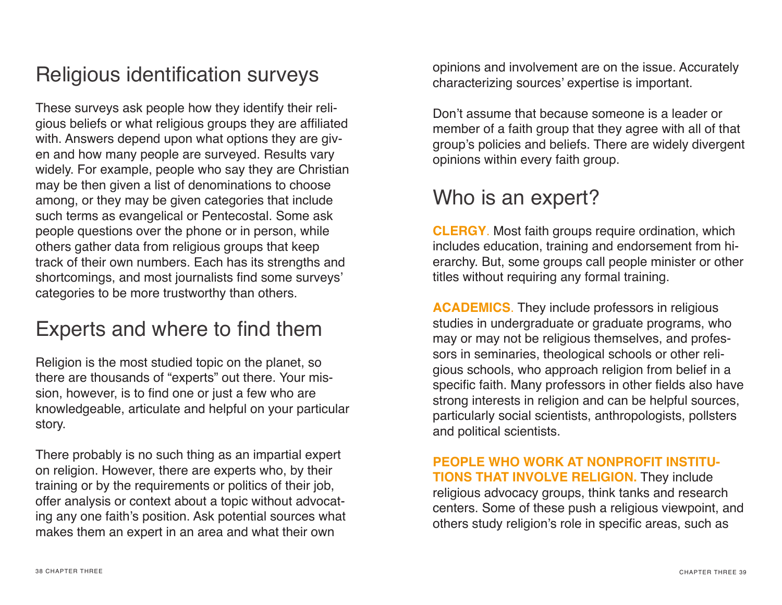## Religious identification surveys

These surveys ask people how they identify their religious beliefs or what religious groups they are affliated with. Answers depend upon what options they are given and how many people are surveyed. Results vary widely. For example, people who say they are Christian may be then given a list of denominations to choose among, or they may be given categories that include such terms as evangelical or Pentecostal. Some ask people questions over the phone or in person, while others gather data from religious groups that keep track of their own numbers. Each has its strengths and shortcomings, and most journalists find some surveys' categories to be more trustworthy than others.

## Experts and where to find them

Religion is the most studied topic on the planet, so there are thousands of "experts" out there. Your mission, however, is to find one or just a few who are knowledgeable, articulate and helpful on your particular story.

There probably is no such thing as an impartial expert on religion. However, there are experts who, by their training or by the requirements or politics of their job, offer analysis or context about a topic without advocating any one faith's position. Ask potential sources what makes them an expert in an area and what their own

opinions and involvement are on the issue. Accurately characterizing sources' expertise is important.

Don't assume that because someone is a leader or member of a faith group that they agree with all of that group's policies and beliefs. There are widely divergent opinions within every faith group.

### Who is an expert?

**CLERGY**. Most faith groups require ordination, which includes education, training and endorsement from hierarchy. But, some groups call people minister or other titles without requiring any formal training.

**ACADEMICS**. They include professors in religious studies in undergraduate or graduate programs, who may or may not be religious themselves, and professors in seminaries, theological schools or other religious schools, who approach religion from belief in a specific faith. Many professors in other fields also have strong interests in religion and can be helpful sources, particularly social scientists, anthropologists, pollsters and political scientists.

**PEOPLE WHO WORK AT NONPROFIT INSTITU-TIONS THAT INVOLVE RELIGION.** They include religious advocacy groups, think tanks and research centers. Some of these push a religious viewpoint, and others study religion's role in specific areas, such as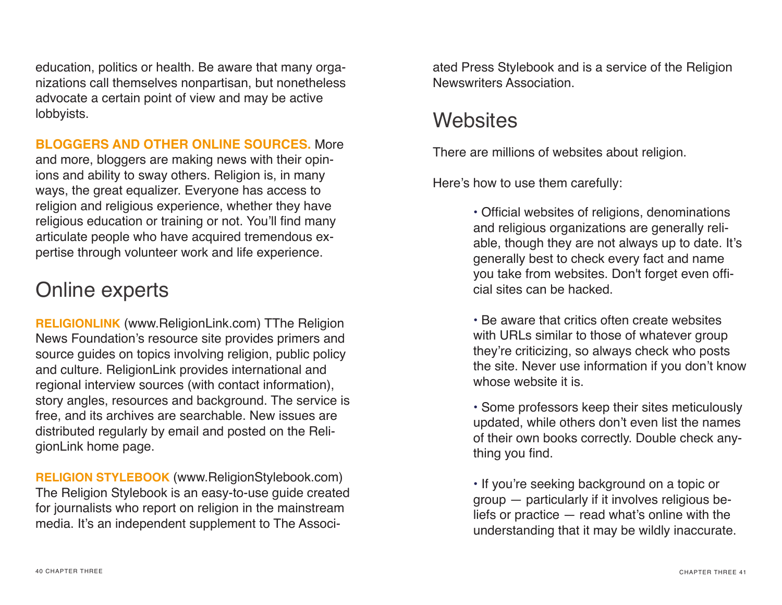education, politics or health. Be aware that many organizations call themselves nonpartisan, but nonetheless advocate a certain point of view and may be active lobbyists.

#### **BLOGGERS AND OTHER ONLINE SOURCES.** More

and more, bloggers are making news with their opinions and ability to sway others. Religion is, in many ways, the great equalizer. Everyone has access to religion and religious experience, whether they have religious education or training or not. You'll find many articulate people who have acquired tremendous expertise through volunteer work and life experience.

## Online experts

**RELIGIONLINK** (www.ReligionLink.com) TThe Religion News Foundation's resource site provides primers and source guides on topics involving religion, public policy and culture. ReligionLink provides international and regional interview sources (with contact information), story angles, resources and background. The service is free, and its archives are searchable. New issues are distributed regularly by email and posted on the ReligionLink home page.

**RELIGION STYLEBOOK** (www.ReligionStylebook.com) The Religion Stylebook is an easy-to-use guide created for journalists who report on religion in the mainstream media. It's an independent supplement to The Associated Press Stylebook and is a service of the Religion Newswriters Association.

#### **Websites**

There are millions of websites about religion.

Here's how to use them carefully:

• Official websites of religions, denominations and religious organizations are generally reliable, though they are not always up to date. It's generally best to check every fact and name you take from websites. Don't forget even official sites can be hacked.

• Be aware that critics often create websites with URLs similar to those of whatever group they're criticizing, so always check who posts the site. Never use information if you don't know whose website it is.

• Some professors keep their sites meticulously updated, while others don't even list the names of their own books correctly. Double check anything you find.

• If you're seeking background on a topic or group — particularly if it involves religious beliefs or practice — read what's online with the understanding that it may be wildly inaccurate.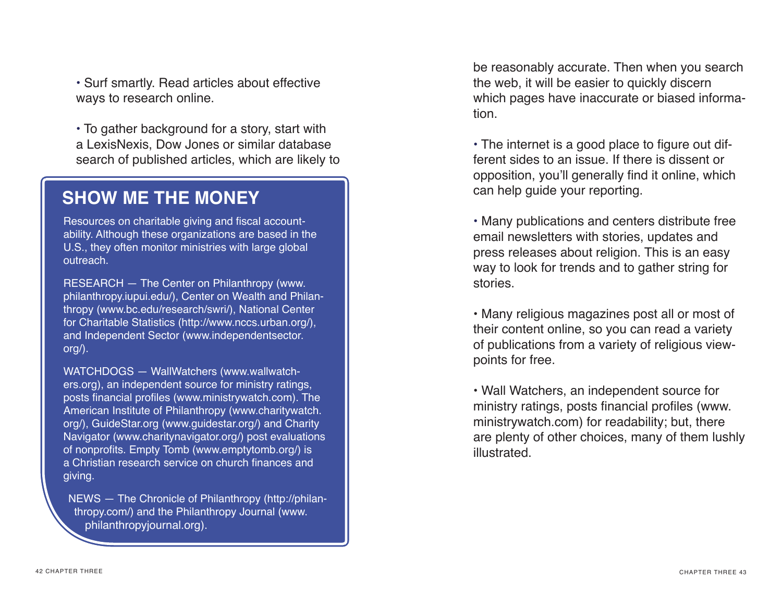• Surf smartly. Read articles about effective ways to research online.

• To gather background for a story, start with a LexisNexis, Dow Jones or similar database search of published articles, which are likely to

#### **SHOW ME THE MONEY**

Resources on charitable giving and fiscal accountability. Although these organizations are based in the U.S., they often monitor ministries with large global outreach.

RESEARCH — The Center on Philanthropy (www. philanthropy.iupui.edu/), Center on Wealth and Philanthropy (www.bc.edu/research/swri/), National Center for Charitable Statistics (http://www.nccs.urban.org/), and Independent Sector (www.independentsector. org/).

WATCHDOGS — WallWatchers (www.wallwatchers.org), an independent source for ministry ratings, posts fnancial profles (www.ministrywatch.com). The American Institute of Philanthropy (www.charitywatch. org/), GuideStar.org (www.guidestar.org/) and Charity Navigator (www.charitynavigator.org/) post evaluations of nonprofits. Empty Tomb (www.emptytomb.org/) is a Christian research service on church fnances and giving.

NEWS — The Chronicle of Philanthropy (http://philanthropy.com/) and the Philanthropy Journal (www. philanthropyjournal.org).

be reasonably accurate. Then when you search the web, it will be easier to quickly discern which pages have inaccurate or biased information.

 $\cdot$  The internet is a good place to figure out different sides to an issue. If there is dissent or opposition, you'll generally find it online, which can help guide your reporting.

• Many publications and centers distribute free email newsletters with stories, updates and press releases about religion. This is an easy way to look for trends and to gather string for stories.

• Many religious magazines post all or most of their content online, so you can read a variety of publications from a variety of religious viewpoints for free.

• Wall Watchers, an independent source for ministry ratings, posts financial profiles (www. ministrywatch.com) for readability; but, there are plenty of other choices, many of them lushly illustrated.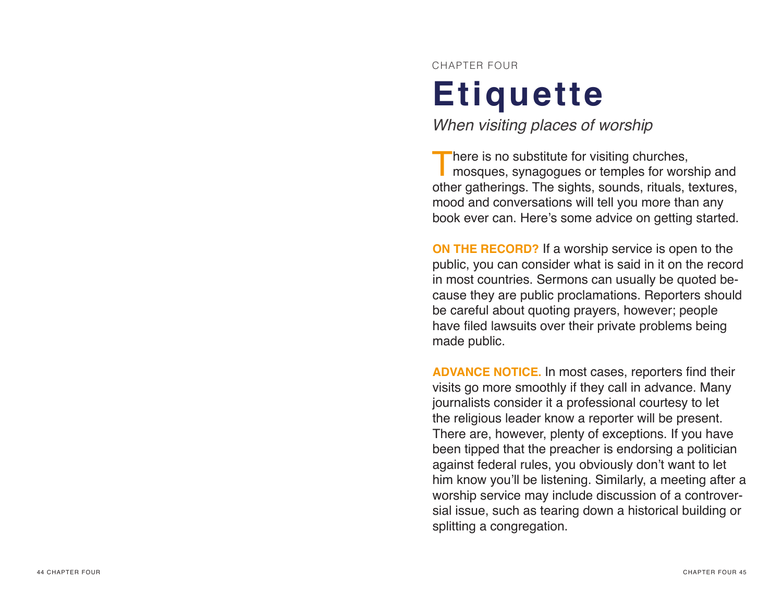CHAPTER FOUR

# **Etiquette**

*When visiting places of worship*

There is no substitute for visiting churches,<br>
mosques, synagogues or temples for worship and other gatherings. The sights, sounds, rituals, textures, mood and conversations will tell you more than any book ever can. Here's some advice on getting started.

**ON THE RECORD?** If a worship service is open to the public, you can consider what is said in it on the record in most countries. Sermons can usually be quoted be cause they are public proclamations. Reporters should be careful about quoting prayers, however; people have filed lawsuits over their private problems being made public.

**ADVANCE NOTICE.** In most cases, reporters fnd their visits go more smoothly if they call in advance. Many journalists consider it a professional courtesy to let the religious leader know a reporter will be present. There are, however, plenty of exceptions. If you have been tipped that the preacher is endorsing a politician against federal rules, you obviously don't want to let him know you'll be listening. Similarly, a meeting after a worship service may include discussion of a controver sial issue, such as tearing down a historical building or splitting a congregation.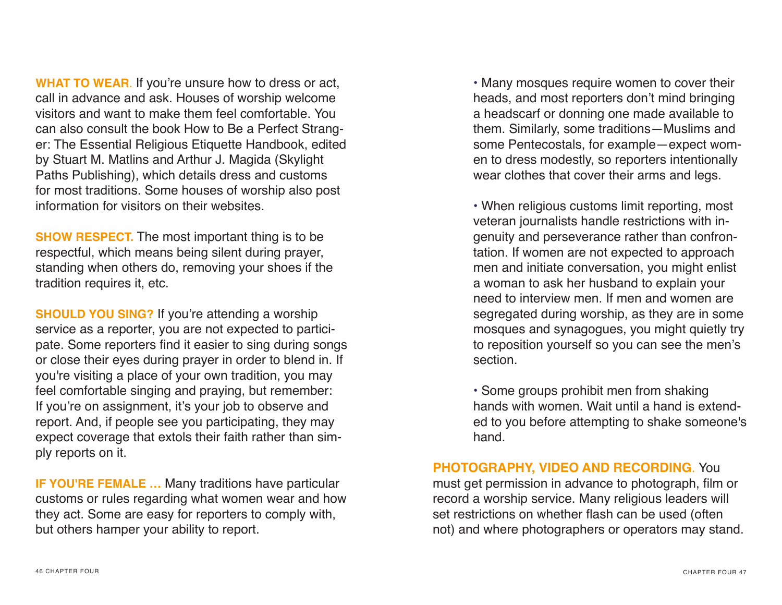**WHAT TO WEAR**. If you're unsure how to dress or act, call in advance and ask. Houses of worship welcome visitors and want to make them feel comfortable. You can also consult the book How to Be a Perfect Stranger: The Essential Religious Etiquette Handbook, edited by Stuart M. Matlins and Arthur J. Magida (Skylight Paths Publishing), which details dress and customs for most traditions. Some houses of worship also post information for visitors on their websites.

**SHOW RESPECT.** The most important thing is to be respectful, which means being silent during prayer, standing when others do, removing your shoes if the tradition requires it, etc.

**SHOULD YOU SING?** If you're attending a worship service as a reporter, you are not expected to participate. Some reporters find it easier to sing during songs or close their eyes during prayer in order to blend in. If you're visiting a place of your own tradition, you may feel comfortable singing and praying, but remember: If you're on assignment, it's your job to observe and report. And, if people see you participating, they may expect coverage that extols their faith rather than simply reports on it.

**IF YOU'RE FEMALE …** Many traditions have particular customs or rules regarding what women wear and how they act. Some are easy for reporters to comply with, but others hamper your ability to report.

• Many mosques require women to cover their heads, and most reporters don't mind bringing a headscarf or donning one made available to them. Similarly, some traditions—Muslims and some Pentecostals, for example—expect women to dress modestly, so reporters intentionally wear clothes that cover their arms and legs.

• When religious customs limit reporting, most veteran journalists handle restrictions with ingenuity and perseverance rather than confrontation. If women are not expected to approach men and initiate conversation, you might enlist a woman to ask her husband to explain your need to interview men. If men and women are segregated during worship, as they are in some mosques and synagogues, you might quietly try to reposition yourself so you can see the men's section.

• Some groups prohibit men from shaking hands with women. Wait until a hand is extended to you before attempting to shake someone's hand.

**PHOTOGRAPHY, VIDEO AND RECORDING**. You must get permission in advance to photograph, flm or record a worship service. Many religious leaders will set restrictions on whether flash can be used (often not) and where photographers or operators may stand.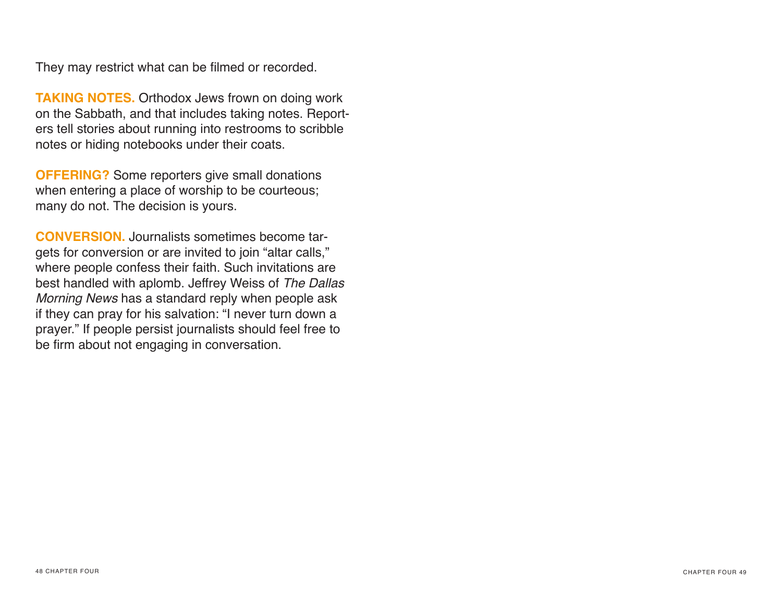They may restrict what can be filmed or recorded.

**TAKING NOTES.** Orthodox Jews frown on doing work on the Sabbath, and that includes taking notes. Reporters tell stories about running into restrooms to scribble notes or hiding notebooks under their coats.

**OFFERING?** Some reporters give small donations when entering a place of worship to be courteous; many do not. The decision is yours.

**CONVERSION.** Journalists sometimes become targets for conversion or are invited to join "altar calls," where people confess their faith. Such invitations are best handled with aplomb. Jeffrey Weiss of *The Dallas Morning News* has a standard reply when people ask if they can pray for his salvation: "I never turn down a prayer." If people persist journalists should feel free to be firm about not engaging in conversation.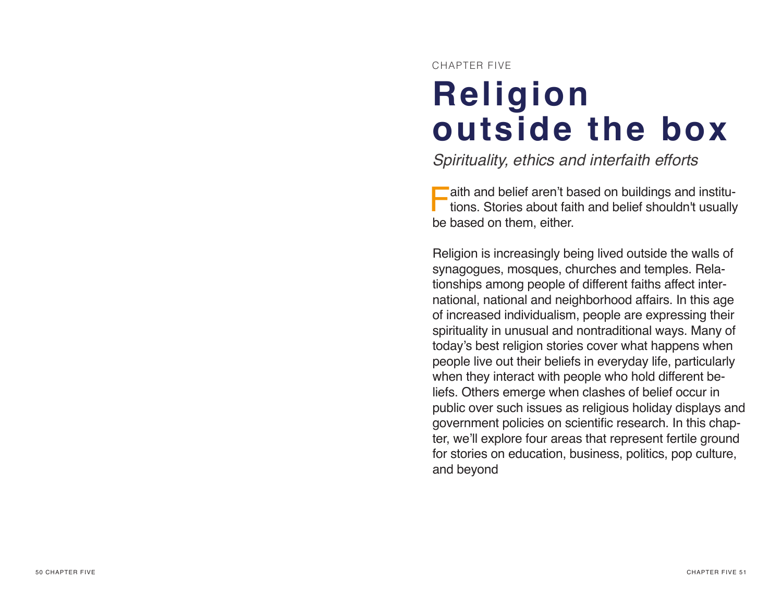CHAPTER FIVE

# **Religion outside the box**

*Spirituality, ethics and interfaith efforts*

**Faith and belief aren't based on buildings and institutions. Stories about faith and belief shouldn't usually** aith and belief aren't based on buildings and institube based on them, either.

Religion is increasingly being lived outside the walls of synagogues, mosques, churches and temples. Rela tionships among people of different faiths affect inter national, national and neighborhood affairs. In this age of increased individualism, people are expressing their spirituality in unusual and nontraditional ways. Many of today's best religion stories cover what happens when people live out their beliefs in everyday life, particularly when they interact with people who hold different be liefs. Others emerge when clashes of belief occur in public over such issues as religious holiday displays and government policies on scientific research. In this chapter, we'll explore four areas that represent fertile ground for stories on education, business, politics, pop culture, and beyond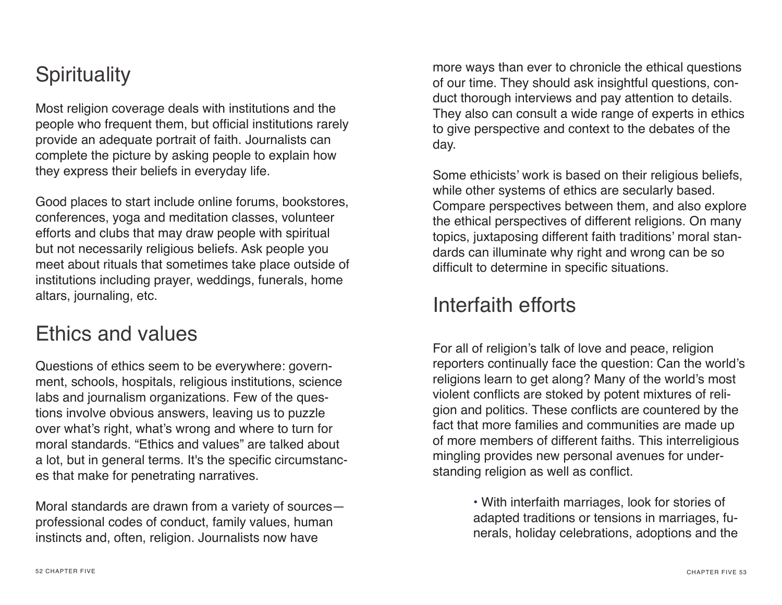#### **Spirituality**

Most religion coverage deals with institutions and the people who frequent them, but official institutions rarely provide an adequate portrait of faith. Journalists can complete the picture by asking people to explain how they express their beliefs in everyday life.

Good places to start include online forums, bookstores, conferences, yoga and meditation classes, volunteer efforts and clubs that may draw people with spiritual but not necessarily religious beliefs. Ask people you meet about rituals that sometimes take place outside of institutions including prayer, weddings, funerals, home altars, journaling, etc.

#### Ethics and values

Questions of ethics seem to be everywhere: government, schools, hospitals, religious institutions, science labs and journalism organizations. Few of the questions involve obvious answers, leaving us to puzzle over what's right, what's wrong and where to turn for moral standards. "Ethics and values" are talked about a lot, but in general terms. It's the specific circumstances that make for penetrating narratives.

Moral standards are drawn from a variety of sources professional codes of conduct, family values, human instincts and, often, religion. Journalists now have

more ways than ever to chronicle the ethical questions of our time. They should ask insightful questions, conduct thorough interviews and pay attention to details. They also can consult a wide range of experts in ethics to give perspective and context to the debates of the day.

Some ethicists' work is based on their religious beliefs, while other systems of ethics are secularly based. Compare perspectives between them, and also explore the ethical perspectives of different religions. On many topics, juxtaposing different faith traditions' moral standards can illuminate why right and wrong can be so difficult to determine in specific situations.

#### Interfaith efforts

For all of religion's talk of love and peace, religion reporters continually face the question: Can the world's religions learn to get along? Many of the world's most violent conficts are stoked by potent mixtures of religion and politics. These conficts are countered by the fact that more families and communities are made up of more members of different faiths. This interreligious mingling provides new personal avenues for understanding religion as well as confict.

> • With interfaith marriages, look for stories of adapted traditions or tensions in marriages, funerals, holiday celebrations, adoptions and the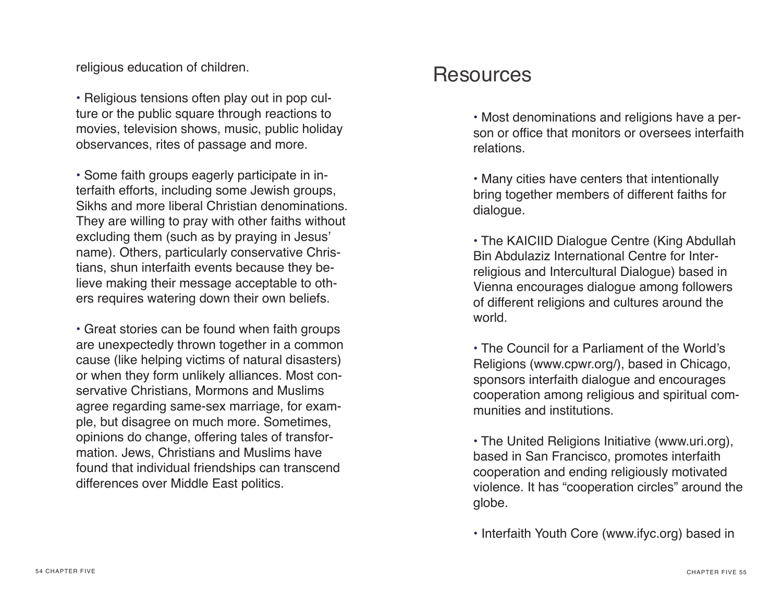religious education of children.

• Religious tensions often play out in pop culture or the public square through reactions to movies, television shows, music, public holiday observances, rites of passage and more.

• Some faith groups eagerly participate in interfaith efforts, including some Jewish groups, Sikhs and more liberal Christian denominations. They are willing to pray with other faiths without excluding them (such as by praying in Jesus' name). Others, particularly conservative Christians, shun interfaith events because they believe making their message acceptable to others requires watering down their own beliefs.

• Great stories can be found when faith groups are unexpectedly thrown together in a common cause (like helping victims of natural disasters) or when they form unlikely alliances. Most conservative Christians, Mormons and Muslims agree regarding same-sex marriage, for example, but disagree on much more. Sometimes, opinions do change, offering tales of transformation. Jews, Christians and Muslims have found that individual friendships can transcend differences over Middle East politics.

#### Resources

• Most denominations and religions have a person or office that monitors or oversees interfaith relations.

• Many cities have centers that intentionally bring together members of different faiths for dialogue.

• The KAICIID Dialogue Centre (King Abdullah Bin Abdulaziz International Centre for Interreligious and Intercultural Dialogue) based in Vienna encourages dialogue among followers of different religions and cultures around the world.

• The Council for a Parliament of the World's Religions (www.cpwr.org/), based in Chicago, sponsors interfaith dialogue and encourages cooperation among religious and spiritual communities and institutions.

• The United Religions Initiative (www.uri.org), based in San Francisco, promotes interfaith cooperation and ending religiously motivated violence. It has "cooperation circles" around the globe.

• Interfaith Youth Core (www.ifyc.org) based in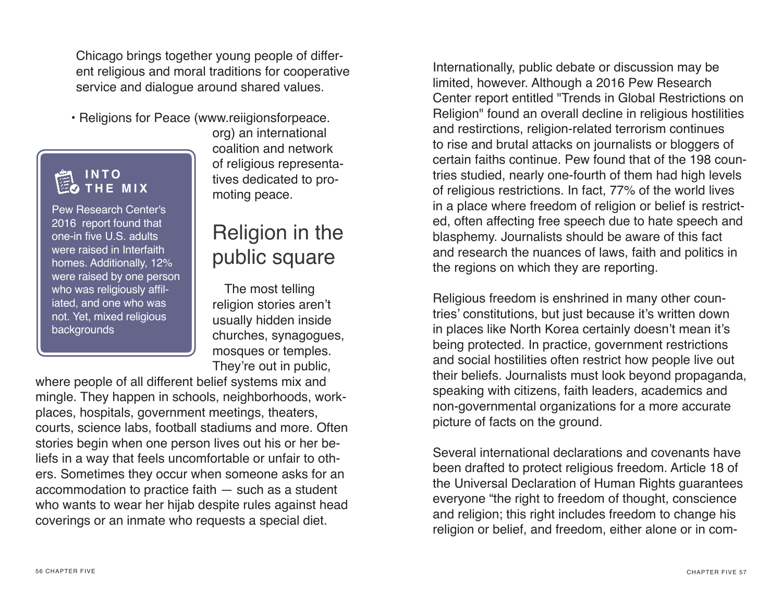Chicago brings together young people of different religious and moral traditions for cooperative service and dialogue around shared values.

• Religions for Peace (www.reiigionsforpeace.

#### **I N T O THE MIX**

Pew Research Center's 2016 report found that one-in five U.S. adults were raised in Interfaith homes. Additionally, 12% were raised by one person who was religiously affiliated, and one who was not. Yet, mixed religious backgrounds

org) an international coalition and network of religious representatives dedicated to promoting peace.

## Religion in the public square

The most telling religion stories aren't usually hidden inside churches, synagogues, mosques or temples. They're out in public,

where people of all different belief systems mix and mingle. They happen in schools, neighborhoods, workplaces, hospitals, government meetings, theaters, courts, science labs, football stadiums and more. Often stories begin when one person lives out his or her beliefs in a way that feels uncomfortable or unfair to others. Sometimes they occur when someone asks for an accommodation to practice faith — such as a student who wants to wear her hijab despite rules against head coverings or an inmate who requests a special diet.

Internationally, public debate or discussion may be limited, however. Although a 2016 Pew Research Center report entitled "Trends in Global Restrictions on Religion" found an overall decline in religious hostilities and restirctions, religion-related terrorism continues to rise and brutal attacks on journalists or bloggers of certain faiths continue. Pew found that of the 198 countries studied, nearly one-fourth of them had high levels of religious restrictions. In fact, 77% of the world lives in a place where freedom of religion or belief is restricted, often affecting free speech due to hate speech and blasphemy. Journalists should be aware of this fact and research the nuances of laws, faith and politics in the regions on which they are reporting.

Religious freedom is enshrined in many other countries' constitutions, but just because it's written down in places like North Korea certainly doesn't mean it's being protected. In practice, government restrictions and social hostilities often restrict how people live out their beliefs. Journalists must look beyond propaganda, speaking with citizens, faith leaders, academics and non-governmental organizations for a more accurate picture of facts on the ground.

Several international declarations and covenants have been drafted to protect religious freedom. Article 18 of the Universal Declaration of Human Rights guarantees everyone "the right to freedom of thought, conscience and religion; this right includes freedom to change his religion or belief, and freedom, either alone or in com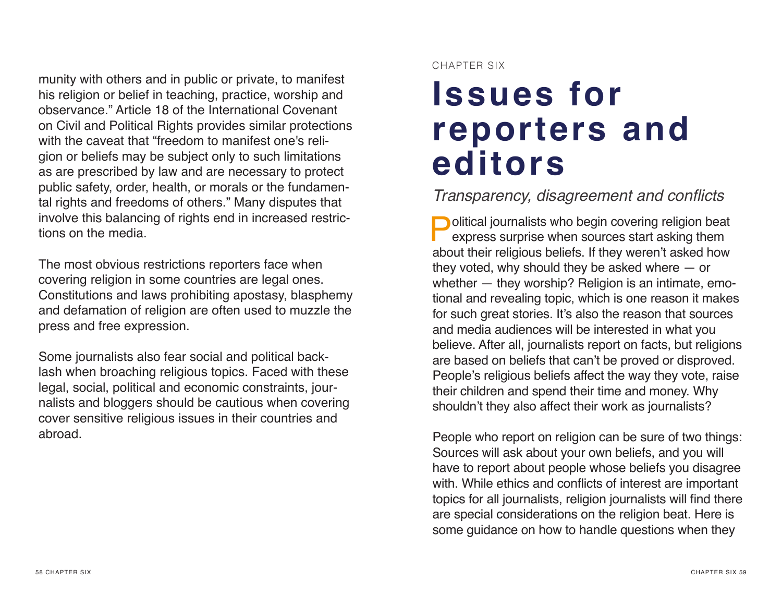munity with others and in public or private, to manifest his religion or belief in teaching, practice, worship and observance." Article 18 of the International Covenant on Civil and Political Rights provides similar protections with the caveat that "freedom to manifest one's religion or beliefs may be subject only to such limitations as are prescribed by law and are necessary to protect public safety, order, health, or morals or the fundamental rights and freedoms of others." Many disputes that involve this balancing of rights end in increased restrictions on the media.

The most obvious restrictions reporters face when covering religion in some countries are legal ones. Constitutions and laws prohibiting apostasy, blasphemy and defamation of religion are often used to muzzle the press and free expression.

Some journalists also fear social and political backlash when broaching religious topics. Faced with these legal, social, political and economic constraints, journalists and bloggers should be cautious when covering cover sensitive religious issues in their countries and abroad.

#### CHAPTER SIX

# **Issues for reporters and editors**

#### Transparency, disagreement and conficts

**Political journalists who begin covering religion beat** express surprise when sources start asking them about their religious beliefs. If they weren't asked how they voted, why should they be asked where — or whether — they worship? Religion is an intimate, emotional and revealing topic, which is one reason it makes for such great stories. It's also the reason that sources and media audiences will be interested in what you believe. After all, journalists report on facts, but religions are based on beliefs that can't be proved or disproved. People's religious beliefs affect the way they vote, raise their children and spend their time and money. Why shouldn't they also affect their work as journalists?

People who report on religion can be sure of two things: Sources will ask about your own beliefs, and you will have to report about people whose beliefs you disagree with. While ethics and conficts of interest are important topics for all journalists, religion journalists will find there are special considerations on the religion beat. Here is some guidance on how to handle questions when they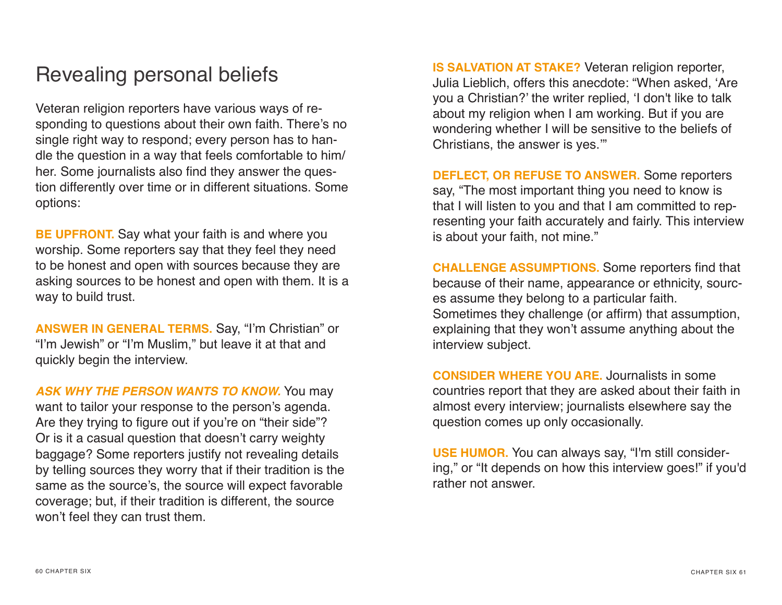## Revealing personal beliefs

Veteran religion reporters have various ways of responding to questions about their own faith. There's no single right way to respond; every person has to handle the question in a way that feels comfortable to him/ her. Some journalists also find they answer the question differently over time or in different situations. Some options:

**BE UPFRONT.** Say what your faith is and where you worship. Some reporters say that they feel they need to be honest and open with sources because they are asking sources to be honest and open with them. It is a way to build trust.

**ANSWER IN GENERAL TERMS.** Say, "I'm Christian" or "I'm Jewish" or "I'm Muslim," but leave it at that and quickly begin the interview.

*ASK WHY THE PERSON WANTS TO KNOW.* You may want to tailor your response to the person's agenda. Are they trying to figure out if you're on "their side"? Or is it a casual question that doesn't carry weighty baggage? Some reporters justify not revealing details by telling sources they worry that if their tradition is the same as the source's, the source will expect favorable coverage; but, if their tradition is different, the source won't feel they can trust them.

**IS SALVATION AT STAKE?** Veteran religion reporter, Julia Lieblich, offers this anecdote: "When asked, 'Are you a Christian?' the writer replied, 'I don't like to talk about my religion when I am working. But if you are wondering whether I will be sensitive to the beliefs of Christians, the answer is yes.'"

**DEFLECT, OR REFUSE TO ANSWER.** Some reporters say, "The most important thing you need to know is that I will listen to you and that I am committed to representing your faith accurately and fairly. This interview is about your faith, not mine."

**CHALLENGE ASSUMPTIONS.** Some reporters fnd that because of their name, appearance or ethnicity, sources assume they belong to a particular faith. Sometimes they challenge (or affirm) that assumption, explaining that they won't assume anything about the interview subject.

**CONSIDER WHERE YOU ARE.** Journalists in some countries report that they are asked about their faith in almost every interview; journalists elsewhere say the question comes up only occasionally.

**USE HUMOR.** You can always say, "I'm still considering," or "It depends on how this interview goes!" if you'd rather not answer.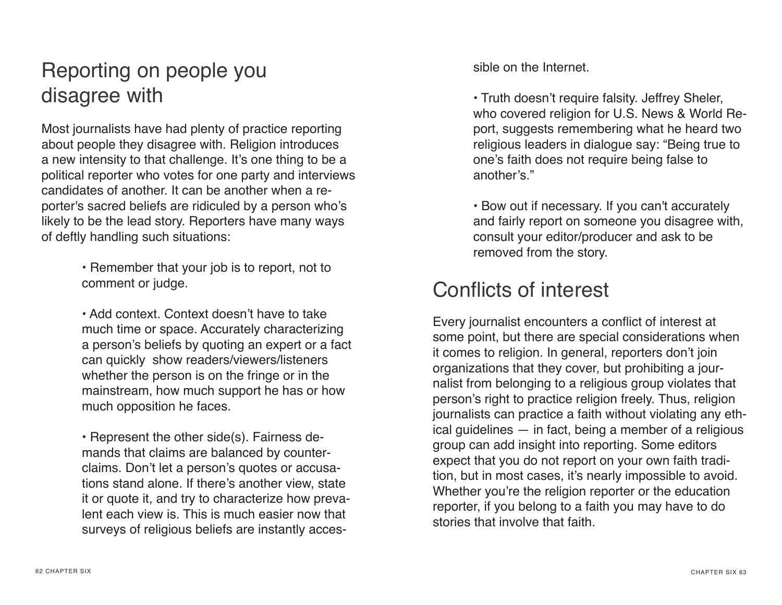## Reporting on people you disagree with

Most journalists have had plenty of practice reporting about people they disagree with. Religion introduces a new intensity to that challenge. It's one thing to be a political reporter who votes for one party and interviews candidates of another. It can be another when a reporter's sacred beliefs are ridiculed by a person who's likely to be the lead story. Reporters have many ways of deftly handling such situations:

> • Remember that your job is to report, not to comment or judge.

• Add context. Context doesn't have to take much time or space. Accurately characterizing a person's beliefs by quoting an expert or a fact can quickly show readers/viewers/listeners whether the person is on the fringe or in the mainstream, how much support he has or how much opposition he faces.

• Represent the other side(s). Fairness demands that claims are balanced by counterclaims. Don't let a person's quotes or accusations stand alone. If there's another view, state it or quote it, and try to characterize how prevalent each view is. This is much easier now that surveys of religious beliefs are instantly accessible on the Internet.

• Truth doesn't require falsity. Jeffrey Sheler, who covered religion for U.S. News & World Report, suggests remembering what he heard two religious leaders in dialogue say: "Being true to one's faith does not require being false to another's."

• Bow out if necessary. If you can't accurately and fairly report on someone you disagree with, consult your editor/producer and ask to be removed from the story.

## Conflicts of interest

Every journalist encounters a confict of interest at some point, but there are special considerations when it comes to religion. In general, reporters don't join organizations that they cover, but prohibiting a journalist from belonging to a religious group violates that person's right to practice religion freely. Thus, religion journalists can practice a faith without violating any ethical guidelines — in fact, being a member of a religious group can add insight into reporting. Some editors expect that you do not report on your own faith tradition, but in most cases, it's nearly impossible to avoid. Whether you're the religion reporter or the education reporter, if you belong to a faith you may have to do stories that involve that faith.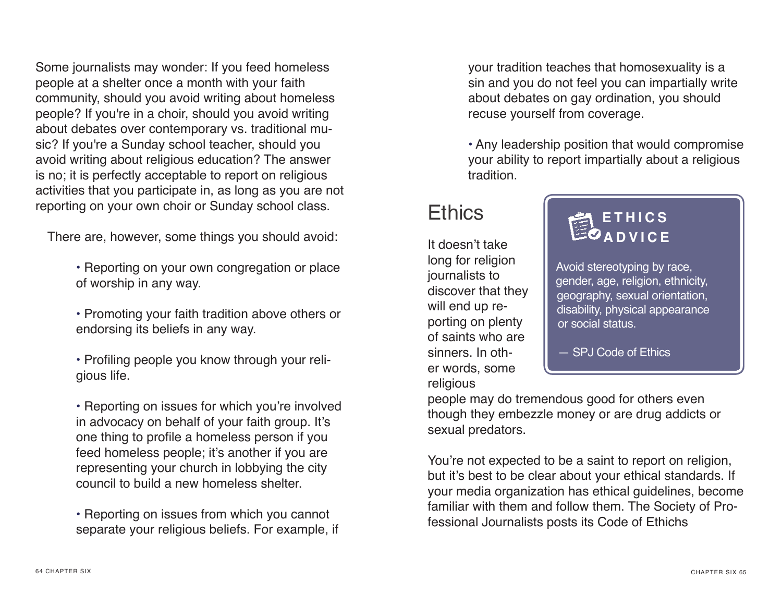Some journalists may wonder: If you feed homeless people at a shelter once a month with your faith community, should you avoid writing about homeless people? If you're in a choir, should you avoid writing about debates over contemporary vs. traditional music? If you're a Sunday school teacher, should you avoid writing about religious education? The answer is no; it is perfectly acceptable to report on religious activities that you participate in, as long as you are not reporting on your own choir or Sunday school class.

There are, however, some things you should avoid:

- Reporting on your own congregation or place of worship in any way.
- Promoting your faith tradition above others or endorsing its beliefs in any way.
- Profling people you know through your religious life.

• Reporting on issues for which you're involved in advocacy on behalf of your faith group. It's one thing to profle a homeless person if you feed homeless people; it's another if you are representing your church in lobbying the city council to build a new homeless shelter.

• Reporting on issues from which you cannot separate your religious beliefs. For example, if your tradition teaches that homosexuality is a sin and you do not feel you can impartially write about debates on gay ordination, you should recuse yourself from coverage.

• Any leadership position that would compromise your ability to report impartially about a religious tradition.

## **Ethics**

It doesn't take long for religion journalists to discover that they will end up reporting on plenty of saints who are sinners. In other words, some religious

#### **E T H I C S ADVICE**

Avoid stereotyping by race, gender, age, religion, ethnicity, geography, sexual orientation, disability, physical appearance or social status.

— SPJ Code of Ethics

people may do tremendous good for others even though they embezzle money or are drug addicts or sexual predators.

You're not expected to be a saint to report on religion, but it's best to be clear about your ethical standards. If your media organization has ethical guidelines, become familiar with them and follow them. The Society of Professional Journalists posts its Code of Ethichs